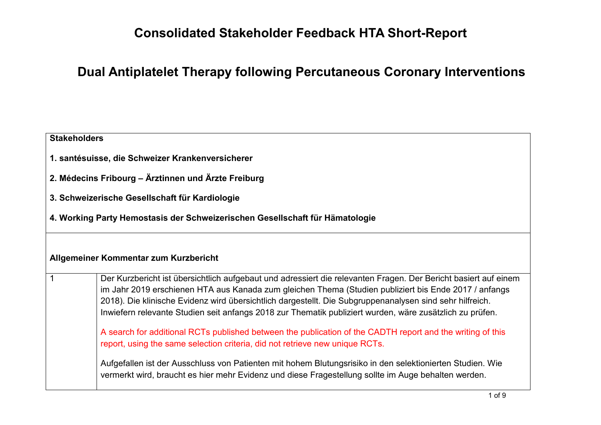## **Consolidated Stakeholder Feedback HTA Short-Report**

## **Dual Antiplatelet Therapy following Percutaneous Coronary Interventions**

| <b>Stakeholders</b> |                                                                                                                                                                                                                                                                                                                                                                                                                                                  |  |
|---------------------|--------------------------------------------------------------------------------------------------------------------------------------------------------------------------------------------------------------------------------------------------------------------------------------------------------------------------------------------------------------------------------------------------------------------------------------------------|--|
|                     | 1. santésuisse, die Schweizer Krankenversicherer                                                                                                                                                                                                                                                                                                                                                                                                 |  |
|                     | 2. Médecins Fribourg – Ärztinnen und Ärzte Freiburg                                                                                                                                                                                                                                                                                                                                                                                              |  |
|                     | 3. Schweizerische Gesellschaft für Kardiologie                                                                                                                                                                                                                                                                                                                                                                                                   |  |
|                     | 4. Working Party Hemostasis der Schweizerischen Gesellschaft für Hämatologie                                                                                                                                                                                                                                                                                                                                                                     |  |
|                     |                                                                                                                                                                                                                                                                                                                                                                                                                                                  |  |
|                     | Allgemeiner Kommentar zum Kurzbericht                                                                                                                                                                                                                                                                                                                                                                                                            |  |
|                     | Der Kurzbericht ist übersichtlich aufgebaut und adressiert die relevanten Fragen. Der Bericht basiert auf einem<br>im Jahr 2019 erschienen HTA aus Kanada zum gleichen Thema (Studien publiziert bis Ende 2017 / anfangs<br>2018). Die klinische Evidenz wird übersichtlich dargestellt. Die Subgruppenanalysen sind sehr hilfreich.<br>Inwiefern relevante Studien seit anfangs 2018 zur Thematik publiziert wurden, wäre zusätzlich zu prüfen. |  |
|                     | A search for additional RCTs published between the publication of the CADTH report and the writing of this<br>report, using the same selection criteria, did not retrieve new unique RCTs.                                                                                                                                                                                                                                                       |  |
|                     | Aufgefallen ist der Ausschluss von Patienten mit hohem Blutungsrisiko in den selektionierten Studien. Wie<br>vermerkt wird, braucht es hier mehr Evidenz und diese Fragestellung sollte im Auge behalten werden.                                                                                                                                                                                                                                 |  |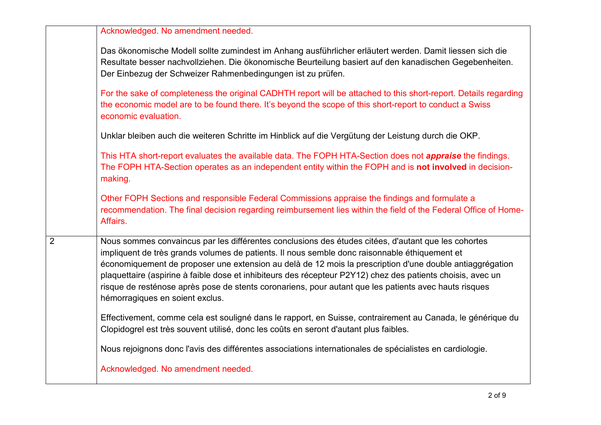|                | Acknowledged. No amendment needed.                                                                                                                                                                                                                                                                                                                                                                                                                                                                                                                                          |
|----------------|-----------------------------------------------------------------------------------------------------------------------------------------------------------------------------------------------------------------------------------------------------------------------------------------------------------------------------------------------------------------------------------------------------------------------------------------------------------------------------------------------------------------------------------------------------------------------------|
|                | Das ökonomische Modell sollte zumindest im Anhang ausführlicher erläutert werden. Damit liessen sich die<br>Resultate besser nachvollziehen. Die ökonomische Beurteilung basiert auf den kanadischen Gegebenheiten.<br>Der Einbezug der Schweizer Rahmenbedingungen ist zu prüfen.                                                                                                                                                                                                                                                                                          |
|                | For the sake of completeness the original CADHTH report will be attached to this short-report. Details regarding<br>the economic model are to be found there. It's beyond the scope of this short-report to conduct a Swiss<br>economic evaluation.                                                                                                                                                                                                                                                                                                                         |
|                | Unklar bleiben auch die weiteren Schritte im Hinblick auf die Vergütung der Leistung durch die OKP.                                                                                                                                                                                                                                                                                                                                                                                                                                                                         |
|                | This HTA short-report evaluates the available data. The FOPH HTA-Section does not <i>appraise</i> the findings.<br>The FOPH HTA-Section operates as an independent entity within the FOPH and is not involved in decision-<br>making.                                                                                                                                                                                                                                                                                                                                       |
|                | Other FOPH Sections and responsible Federal Commissions appraise the findings and formulate a<br>recommendation. The final decision regarding reimbursement lies within the field of the Federal Office of Home-<br>Affairs.                                                                                                                                                                                                                                                                                                                                                |
| $\overline{2}$ | Nous sommes convaincus par les différentes conclusions des études citées, d'autant que les cohortes<br>impliquent de très grands volumes de patients. Il nous semble donc raisonnable éthiquement et<br>économiquement de proposer une extension au delà de 12 mois la prescription d'une double antiaggrégation<br>plaquettaire (aspirine à faible dose et inhibiteurs des récepteur P2Y12) chez des patients choisis, avec un<br>risque de resténose après pose de stents coronariens, pour autant que les patients avec hauts risques<br>hémorragiques en soient exclus. |
|                | Effectivement, comme cela est souligné dans le rapport, en Suisse, contrairement au Canada, le générique du<br>Clopidogrel est très souvent utilisé, donc les coûts en seront d'autant plus faibles.                                                                                                                                                                                                                                                                                                                                                                        |
|                | Nous rejoignons donc l'avis des différentes associations internationales de spécialistes en cardiologie.                                                                                                                                                                                                                                                                                                                                                                                                                                                                    |
|                | Acknowledged. No amendment needed.                                                                                                                                                                                                                                                                                                                                                                                                                                                                                                                                          |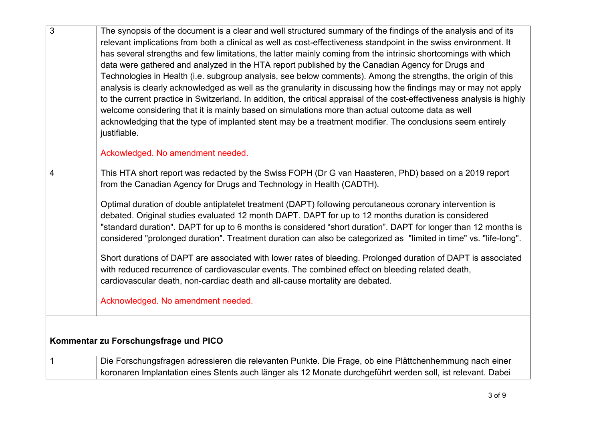| $\overline{3}$ | The synopsis of the document is a clear and well structured summary of the findings of the analysis and of its<br>relevant implications from both a clinical as well as cost-effectiveness standpoint in the swiss environment. It |
|----------------|------------------------------------------------------------------------------------------------------------------------------------------------------------------------------------------------------------------------------------|
|                | has several strengths and few limitations, the latter mainly coming from the intrinsic shortcomings with which                                                                                                                     |
|                | data were gathered and analyzed in the HTA report published by the Canadian Agency for Drugs and                                                                                                                                   |
|                | Technologies in Health (i.e. subgroup analysis, see below comments). Among the strengths, the origin of this                                                                                                                       |
|                | analysis is clearly acknowledged as well as the granularity in discussing how the findings may or may not apply                                                                                                                    |
|                | to the current practice in Switzerland. In addition, the critical appraisal of the cost-effectiveness analysis is highly                                                                                                           |
|                | welcome considering that it is mainly based on simulations more than actual outcome data as well                                                                                                                                   |
|                | acknowledging that the type of implanted stent may be a treatment modifier. The conclusions seem entirely<br>justifiable.                                                                                                          |
|                |                                                                                                                                                                                                                                    |
|                | Ackowledged. No amendment needed.                                                                                                                                                                                                  |
| 4              | This HTA short report was redacted by the Swiss FOPH (Dr G van Haasteren, PhD) based on a 2019 report                                                                                                                              |
|                | from the Canadian Agency for Drugs and Technology in Health (CADTH).                                                                                                                                                               |
|                |                                                                                                                                                                                                                                    |
|                | Optimal duration of double antiplatelet treatment (DAPT) following percutaneous coronary intervention is                                                                                                                           |
|                | debated. Original studies evaluated 12 month DAPT. DAPT for up to 12 months duration is considered                                                                                                                                 |
|                | "standard duration". DAPT for up to 6 months is considered "short duration". DAPT for longer than 12 months is                                                                                                                     |
|                | considered "prolonged duration". Treatment duration can also be categorized as "limited in time" vs. "life-long".                                                                                                                  |
|                | Short durations of DAPT are associated with lower rates of bleeding. Prolonged duration of DAPT is associated                                                                                                                      |
|                | with reduced recurrence of cardiovascular events. The combined effect on bleeding related death,                                                                                                                                   |
|                | cardiovascular death, non-cardiac death and all-cause mortality are debated.                                                                                                                                                       |
|                | Acknowledged. No amendment needed.                                                                                                                                                                                                 |
|                |                                                                                                                                                                                                                                    |
|                |                                                                                                                                                                                                                                    |
|                | Kommentar zu Forschungsfrage und PICO                                                                                                                                                                                              |
|                |                                                                                                                                                                                                                                    |
| $\mathbf{1}$   | Die Forschungsfragen adressieren die relevanten Punkte. Die Frage, ob eine Plättchenhemmung nach einer                                                                                                                             |
|                | koronaren Implantation eines Stents auch länger als 12 Monate durchgeführt werden soll, ist relevant. Dabei                                                                                                                        |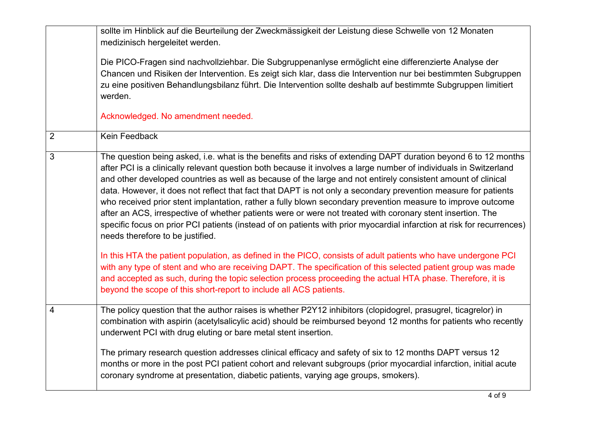|                | sollte im Hinblick auf die Beurteilung der Zweckmässigkeit der Leistung diese Schwelle von 12 Monaten                                                                                                                                                                                                                                                                                                                                                                                                                                                                                                                                                                                                                                                                                                                                                            |
|----------------|------------------------------------------------------------------------------------------------------------------------------------------------------------------------------------------------------------------------------------------------------------------------------------------------------------------------------------------------------------------------------------------------------------------------------------------------------------------------------------------------------------------------------------------------------------------------------------------------------------------------------------------------------------------------------------------------------------------------------------------------------------------------------------------------------------------------------------------------------------------|
|                | medizinisch hergeleitet werden.                                                                                                                                                                                                                                                                                                                                                                                                                                                                                                                                                                                                                                                                                                                                                                                                                                  |
|                | Die PICO-Fragen sind nachvollziehbar. Die Subgruppenanlyse ermöglicht eine differenzierte Analyse der<br>Chancen und Risiken der Intervention. Es zeigt sich klar, dass die Intervention nur bei bestimmten Subgruppen<br>zu eine positiven Behandlungsbilanz führt. Die Intervention sollte deshalb auf bestimmte Subgruppen limitiert<br>werden.                                                                                                                                                                                                                                                                                                                                                                                                                                                                                                               |
|                | Acknowledged. No amendment needed.                                                                                                                                                                                                                                                                                                                                                                                                                                                                                                                                                                                                                                                                                                                                                                                                                               |
| $\overline{2}$ | Kein Feedback                                                                                                                                                                                                                                                                                                                                                                                                                                                                                                                                                                                                                                                                                                                                                                                                                                                    |
| 3              | The question being asked, i.e. what is the benefits and risks of extending DAPT duration beyond 6 to 12 months<br>after PCI is a clinically relevant question both because it involves a large number of individuals in Switzerland<br>and other developed countries as well as because of the large and not entirely consistent amount of clinical<br>data. However, it does not reflect that fact that DAPT is not only a secondary prevention measure for patients<br>who received prior stent implantation, rather a fully blown secondary prevention measure to improve outcome<br>after an ACS, irrespective of whether patients were or were not treated with coronary stent insertion. The<br>specific focus on prior PCI patients (instead of on patients with prior myocardial infarction at risk for recurrences)<br>needs therefore to be justified. |
|                | In this HTA the patient population, as defined in the PICO, consists of adult patients who have undergone PCI<br>with any type of stent and who are receiving DAPT. The specification of this selected patient group was made<br>and accepted as such, during the topic selection process proceeding the actual HTA phase. Therefore, it is<br>beyond the scope of this short-report to include all ACS patients.                                                                                                                                                                                                                                                                                                                                                                                                                                                |
| 4              | The policy question that the author raises is whether P2Y12 inhibitors (clopidogrel, prasugrel, ticagrelor) in<br>combination with aspirin (acetylsalicylic acid) should be reimbursed beyond 12 months for patients who recently<br>underwent PCI with drug eluting or bare metal stent insertion.                                                                                                                                                                                                                                                                                                                                                                                                                                                                                                                                                              |
|                | The primary research question addresses clinical efficacy and safety of six to 12 months DAPT versus 12<br>months or more in the post PCI patient cohort and relevant subgroups (prior myocardial infarction, initial acute<br>coronary syndrome at presentation, diabetic patients, varying age groups, smokers).                                                                                                                                                                                                                                                                                                                                                                                                                                                                                                                                               |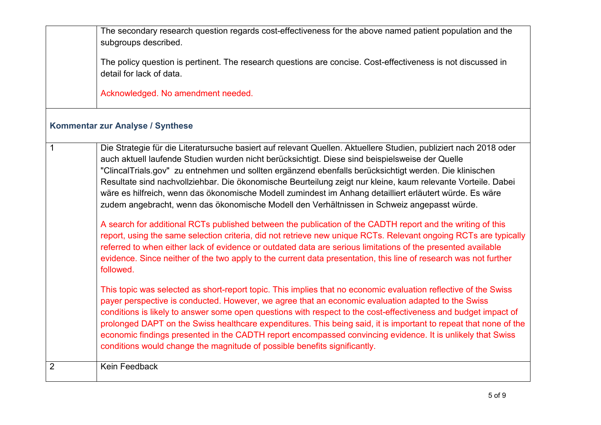|                | The secondary research question regards cost-effectiveness for the above named patient population and the<br>subgroups described.<br>The policy question is pertinent. The research questions are concise. Cost-effectiveness is not discussed in                                                                                                                                                                                                                                                                                                                                                                                                       |
|----------------|---------------------------------------------------------------------------------------------------------------------------------------------------------------------------------------------------------------------------------------------------------------------------------------------------------------------------------------------------------------------------------------------------------------------------------------------------------------------------------------------------------------------------------------------------------------------------------------------------------------------------------------------------------|
|                | detail for lack of data.                                                                                                                                                                                                                                                                                                                                                                                                                                                                                                                                                                                                                                |
|                | Acknowledged. No amendment needed.                                                                                                                                                                                                                                                                                                                                                                                                                                                                                                                                                                                                                      |
|                | Kommentar zur Analyse / Synthese                                                                                                                                                                                                                                                                                                                                                                                                                                                                                                                                                                                                                        |
| $\mathbf 1$    | Die Strategie für die Literatursuche basiert auf relevant Quellen. Aktuellere Studien, publiziert nach 2018 oder<br>auch aktuell laufende Studien wurden nicht berücksichtigt. Diese sind beispielsweise der Quelle<br>"ClincalTrials.gov" zu entnehmen und sollten ergänzend ebenfalls berücksichtigt werden. Die klinischen<br>Resultate sind nachvollziehbar. Die ökonomische Beurteilung zeigt nur kleine, kaum relevante Vorteile. Dabei<br>wäre es hilfreich, wenn das ökonomische Modell zumindest im Anhang detailliert erläutert würde. Es wäre<br>zudem angebracht, wenn das ökonomische Modell den Verhältnissen in Schweiz angepasst würde. |
|                | A search for additional RCTs published between the publication of the CADTH report and the writing of this<br>report, using the same selection criteria, did not retrieve new unique RCTs. Relevant ongoing RCTs are typically<br>referred to when either lack of evidence or outdated data are serious limitations of the presented available<br>evidence. Since neither of the two apply to the current data presentation, this line of research was not further<br>followed.                                                                                                                                                                         |
|                | This topic was selected as short-report topic. This implies that no economic evaluation reflective of the Swiss<br>payer perspective is conducted. However, we agree that an economic evaluation adapted to the Swiss<br>conditions is likely to answer some open questions with respect to the cost-effectiveness and budget impact of<br>prolonged DAPT on the Swiss healthcare expenditures. This being said, it is important to repeat that none of the<br>economic findings presented in the CADTH report encompassed convincing evidence. It is unlikely that Swiss<br>conditions would change the magnitude of possible benefits significantly.  |
| $\overline{2}$ | Kein Feedback                                                                                                                                                                                                                                                                                                                                                                                                                                                                                                                                                                                                                                           |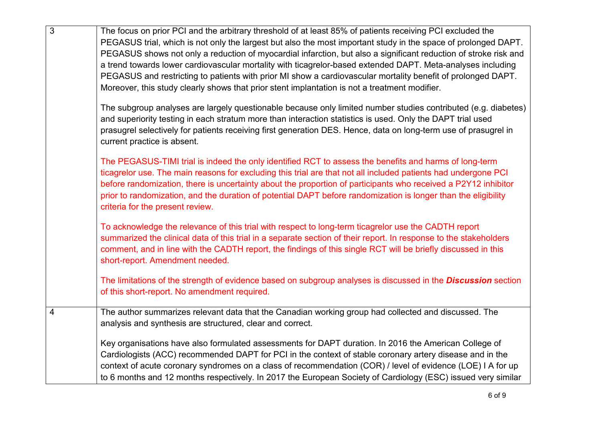| $\overline{3}$ | The focus on prior PCI and the arbitrary threshold of at least 85% of patients receiving PCI excluded the<br>PEGASUS trial, which is not only the largest but also the most important study in the space of prolonged DAPT.<br>PEGASUS shows not only a reduction of myocardial infarction, but also a significant reduction of stroke risk and<br>a trend towards lower cardiovascular mortality with ticagrelor-based extended DAPT. Meta-analyses including<br>PEGASUS and restricting to patients with prior MI show a cardiovascular mortality benefit of prolonged DAPT.<br>Moreover, this study clearly shows that prior stent implantation is not a treatment modifier. |
|----------------|---------------------------------------------------------------------------------------------------------------------------------------------------------------------------------------------------------------------------------------------------------------------------------------------------------------------------------------------------------------------------------------------------------------------------------------------------------------------------------------------------------------------------------------------------------------------------------------------------------------------------------------------------------------------------------|
|                | The subgroup analyses are largely questionable because only limited number studies contributed (e.g. diabetes)<br>and superiority testing in each stratum more than interaction statistics is used. Only the DAPT trial used<br>prasugrel selectively for patients receiving first generation DES. Hence, data on long-term use of prasugrel in<br>current practice is absent.                                                                                                                                                                                                                                                                                                  |
|                | The PEGASUS-TIMI trial is indeed the only identified RCT to assess the benefits and harms of long-term<br>ticagrelor use. The main reasons for excluding this trial are that not all included patients had undergone PCI<br>before randomization, there is uncertainty about the proportion of participants who received a P2Y12 inhibitor<br>prior to randomization, and the duration of potential DAPT before randomization is longer than the eligibility<br>criteria for the present review.                                                                                                                                                                                |
|                | To acknowledge the relevance of this trial with respect to long-term ticagrelor use the CADTH report<br>summarized the clinical data of this trial in a separate section of their report. In response to the stakeholders<br>comment, and in line with the CADTH report, the findings of this single RCT will be briefly discussed in this<br>short-report. Amendment needed.                                                                                                                                                                                                                                                                                                   |
|                | The limitations of the strength of evidence based on subgroup analyses is discussed in the <b>Discussion</b> section<br>of this short-report. No amendment required.                                                                                                                                                                                                                                                                                                                                                                                                                                                                                                            |
| $\overline{4}$ | The author summarizes relevant data that the Canadian working group had collected and discussed. The<br>analysis and synthesis are structured, clear and correct.                                                                                                                                                                                                                                                                                                                                                                                                                                                                                                               |
|                | Key organisations have also formulated assessments for DAPT duration. In 2016 the American College of<br>Cardiologists (ACC) recommended DAPT for PCI in the context of stable coronary artery disease and in the<br>context of acute coronary syndromes on a class of recommendation (COR) / level of evidence (LOE) I A for up<br>to 6 months and 12 months respectively. In 2017 the European Society of Cardiology (ESC) issued very similar                                                                                                                                                                                                                                |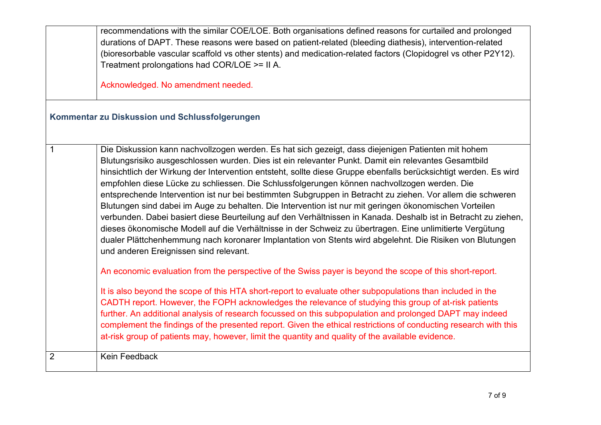|                | recommendations with the similar COE/LOE. Both organisations defined reasons for curtailed and prolonged<br>durations of DAPT. These reasons were based on patient-related (bleeding diathesis), intervention-related<br>(bioresorbable vascular scaffold vs other stents) and medication-related factors (Clopidogrel vs other P2Y12).<br>Treatment prolongations had COR/LOE >= II A.<br>Acknowledged. No amendment needed.                                                                                                                                                                                                                                                                                                                                                                                                                                                                                                                                                                                                                                                                                                                                                                                                                                                                                                                                                                                                                                                                                                                                                                                                                                                                                      |
|----------------|--------------------------------------------------------------------------------------------------------------------------------------------------------------------------------------------------------------------------------------------------------------------------------------------------------------------------------------------------------------------------------------------------------------------------------------------------------------------------------------------------------------------------------------------------------------------------------------------------------------------------------------------------------------------------------------------------------------------------------------------------------------------------------------------------------------------------------------------------------------------------------------------------------------------------------------------------------------------------------------------------------------------------------------------------------------------------------------------------------------------------------------------------------------------------------------------------------------------------------------------------------------------------------------------------------------------------------------------------------------------------------------------------------------------------------------------------------------------------------------------------------------------------------------------------------------------------------------------------------------------------------------------------------------------------------------------------------------------|
|                | Kommentar zu Diskussion und Schlussfolgerungen                                                                                                                                                                                                                                                                                                                                                                                                                                                                                                                                                                                                                                                                                                                                                                                                                                                                                                                                                                                                                                                                                                                                                                                                                                                                                                                                                                                                                                                                                                                                                                                                                                                                     |
| $\mathbf{1}$   | Die Diskussion kann nachvollzogen werden. Es hat sich gezeigt, dass diejenigen Patienten mit hohem<br>Blutungsrisiko ausgeschlossen wurden. Dies ist ein relevanter Punkt. Damit ein relevantes Gesamtbild<br>hinsichtlich der Wirkung der Intervention entsteht, sollte diese Gruppe ebenfalls berücksichtigt werden. Es wird<br>empfohlen diese Lücke zu schliessen. Die Schlussfolgerungen können nachvollzogen werden. Die<br>entsprechende Intervention ist nur bei bestimmten Subgruppen in Betracht zu ziehen. Vor allem die schweren<br>Blutungen sind dabei im Auge zu behalten. Die Intervention ist nur mit geringen ökonomischen Vorteilen<br>verbunden. Dabei basiert diese Beurteilung auf den Verhältnissen in Kanada. Deshalb ist in Betracht zu ziehen,<br>dieses ökonomische Modell auf die Verhältnisse in der Schweiz zu übertragen. Eine unlimitierte Vergütung<br>dualer Plättchenhemmung nach koronarer Implantation von Stents wird abgelehnt. Die Risiken von Blutungen<br>und anderen Ereignissen sind relevant.<br>An economic evaluation from the perspective of the Swiss payer is beyond the scope of this short-report.<br>It is also beyond the scope of this HTA short-report to evaluate other subpopulations than included in the<br>CADTH report. However, the FOPH acknowledges the relevance of studying this group of at-risk patients<br>further. An additional analysis of research focussed on this subpopulation and prolonged DAPT may indeed<br>complement the findings of the presented report. Given the ethical restrictions of conducting research with this<br>at-risk group of patients may, however, limit the quantity and quality of the available evidence. |
| $\overline{2}$ | <b>Kein Feedback</b>                                                                                                                                                                                                                                                                                                                                                                                                                                                                                                                                                                                                                                                                                                                                                                                                                                                                                                                                                                                                                                                                                                                                                                                                                                                                                                                                                                                                                                                                                                                                                                                                                                                                                               |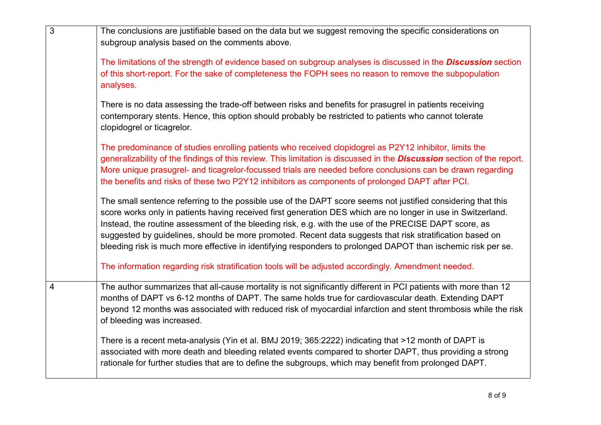| $\overline{3}$ | The conclusions are justifiable based on the data but we suggest removing the specific considerations on<br>subgroup analysis based on the comments above.                                                                                                                                                                                                                                                                                                                                                                                                        |
|----------------|-------------------------------------------------------------------------------------------------------------------------------------------------------------------------------------------------------------------------------------------------------------------------------------------------------------------------------------------------------------------------------------------------------------------------------------------------------------------------------------------------------------------------------------------------------------------|
|                | The limitations of the strength of evidence based on subgroup analyses is discussed in the <b>Discussion</b> section<br>of this short-report. For the sake of completeness the FOPH sees no reason to remove the subpopulation<br>analyses.                                                                                                                                                                                                                                                                                                                       |
|                | There is no data assessing the trade-off between risks and benefits for prasugrel in patients receiving<br>contemporary stents. Hence, this option should probably be restricted to patients who cannot tolerate<br>clopidogrel or ticagrelor.                                                                                                                                                                                                                                                                                                                    |
|                | The predominance of studies enrolling patients who received clopidogrel as P2Y12 inhibitor, limits the<br>generalizability of the findings of this review. This limitation is discussed in the <b>Discussion</b> section of the report.<br>More unique prasugrel- and ticagrelor-focussed trials are needed before conclusions can be drawn regarding<br>the benefits and risks of these two P2Y12 inhibitors as components of prolonged DAPT after PCI.                                                                                                          |
|                | The small sentence referring to the possible use of the DAPT score seems not justified considering that this<br>score works only in patients having received first generation DES which are no longer in use in Switzerland.<br>Instead, the routine assessment of the bleeding risk, e.g. with the use of the PRECISE DAPT score, as<br>suggested by guidelines, should be more promoted. Recent data suggests that risk stratification based on<br>bleeding risk is much more effective in identifying responders to prolonged DAPOT than ischemic risk per se. |
|                | The information regarding risk stratification tools will be adjusted accordingly. Amendment needed.                                                                                                                                                                                                                                                                                                                                                                                                                                                               |
| $\overline{4}$ | The author summarizes that all-cause mortality is not significantly different in PCI patients with more than 12<br>months of DAPT vs 6-12 months of DAPT. The same holds true for cardiovascular death. Extending DAPT<br>beyond 12 months was associated with reduced risk of myocardial infarction and stent thrombosis while the risk<br>of bleeding was increased.                                                                                                                                                                                            |
|                | There is a recent meta-analysis (Yin et al. BMJ 2019; 365:2222) indicating that >12 month of DAPT is<br>associated with more death and bleeding related events compared to shorter DAPT, thus providing a strong<br>rationale for further studies that are to define the subgroups, which may benefit from prolonged DAPT.                                                                                                                                                                                                                                        |